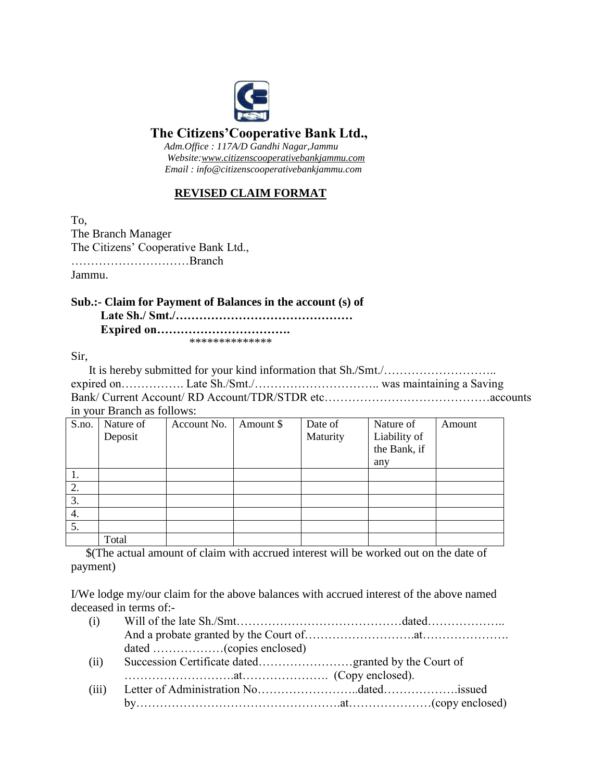

## **The Citizens'Cooperative Bank Ltd.,**

 *Adm.Office : 117A/D Gandhi Nagar,Jammu Website:www.citizenscooperativebankjammu.com Email : info@citizenscooperativebankjammu.com* 

### **REVISED CLAIM FORMAT**

To, The Branch Manager The Citizens' Cooperative Bank Ltd., …………………………Branch Jammu.

**Sub.:- Claim for Payment of Balances in the account (s) of Late Sh./ Smt./……………………………………… Expired on…………………………….**

\*\*\*\*\*\*\*\*\*\*\*\*\*\*

Sir,

| in your Branch as follows: |  |
|----------------------------|--|

| $\checkmark$<br>S.no. | Nature of | Account No. | Amount \$ | Date of  | Nature of    | Amount |
|-----------------------|-----------|-------------|-----------|----------|--------------|--------|
|                       | Deposit   |             |           | Maturity | Liability of |        |
|                       |           |             |           |          | the Bank, if |        |
|                       |           |             |           |          | any          |        |
| 1.                    |           |             |           |          |              |        |
| 2.                    |           |             |           |          |              |        |
| 3.                    |           |             |           |          |              |        |
| 4.                    |           |             |           |          |              |        |
| 5.                    |           |             |           |          |              |        |
|                       | Total     |             |           |          |              |        |

 \$(The actual amount of claim with accrued interest will be worked out on the date of payment)

I/We lodge my/our claim for the above balances with accrued interest of the above named deceased in terms of:-

| (i)   |  |  |
|-------|--|--|
|       |  |  |
|       |  |  |
| (ii)  |  |  |
|       |  |  |
| (iii) |  |  |
|       |  |  |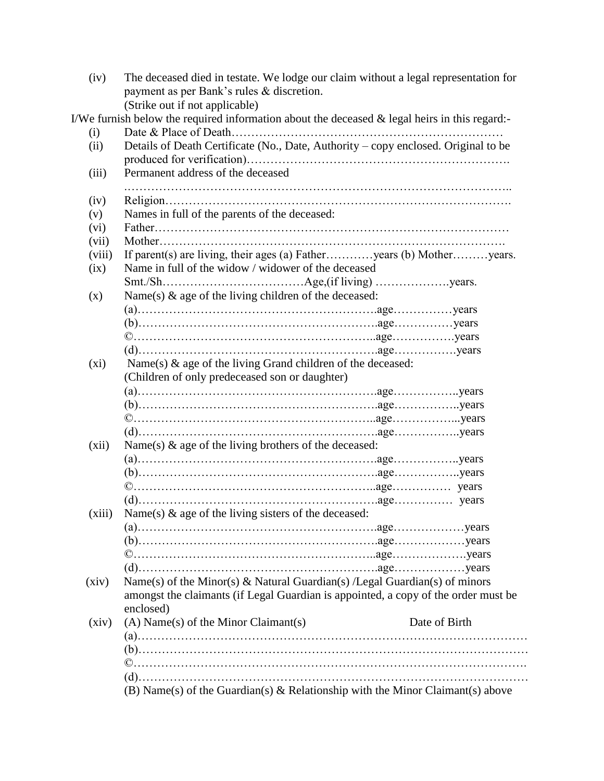| (iv)   | The deceased died in testate. We lodge our claim without a legal representation for           |               |
|--------|-----------------------------------------------------------------------------------------------|---------------|
|        | payment as per Bank's rules & discretion.                                                     |               |
|        | (Strike out if not applicable)                                                                |               |
|        | I/We furnish below the required information about the deceased & legal heirs in this regard:- |               |
| (i)    |                                                                                               |               |
| (ii)   | Details of Death Certificate (No., Date, Authority - copy enclosed. Original to be            |               |
|        | Permanent address of the deceased                                                             |               |
| (iii)  |                                                                                               |               |
| (iv)   |                                                                                               |               |
| (v)    | Names in full of the parents of the deceased:                                                 |               |
| (vi)   |                                                                                               |               |
| (vii)  |                                                                                               |               |
| (viii) | If parent(s) are living, their ages (a) Fatheryears (b) Motheryears.                          |               |
| (ix)   | Name in full of the widow / widower of the deceased                                           |               |
|        |                                                                                               |               |
| (x)    | Name(s) & age of the living children of the deceased:                                         |               |
|        |                                                                                               |               |
|        |                                                                                               |               |
|        |                                                                                               |               |
|        |                                                                                               |               |
| (xi)   | Name(s) & age of the living Grand children of the deceased:                                   |               |
|        | (Children of only predeceased son or daughter)                                                |               |
|        |                                                                                               |               |
|        |                                                                                               |               |
|        |                                                                                               |               |
|        |                                                                                               |               |
| (xii)  | Name(s) $\&$ age of the living brothers of the deceased:                                      |               |
|        |                                                                                               |               |
|        |                                                                                               |               |
|        |                                                                                               |               |
|        |                                                                                               |               |
| (xiii) | Name(s) $\&$ age of the living sisters of the deceased:                                       |               |
|        |                                                                                               |               |
|        |                                                                                               |               |
|        |                                                                                               |               |
|        |                                                                                               |               |
| (xiv)  | Name(s) of the Minor(s) & Natural Guardian(s) /Legal Guardian(s) of minors                    |               |
|        | amongst the claimants (if Legal Guardian is appointed, a copy of the order must be            |               |
|        | enclosed)                                                                                     |               |
| (xiv)  | $(A)$ Name $(s)$ of the Minor Claimant $(s)$                                                  | Date of Birth |
|        |                                                                                               |               |
|        |                                                                                               |               |
|        |                                                                                               |               |
|        |                                                                                               |               |
|        | (B) Name(s) of the Guardian(s) $\&$ Relationship with the Minor Claimant(s) above             |               |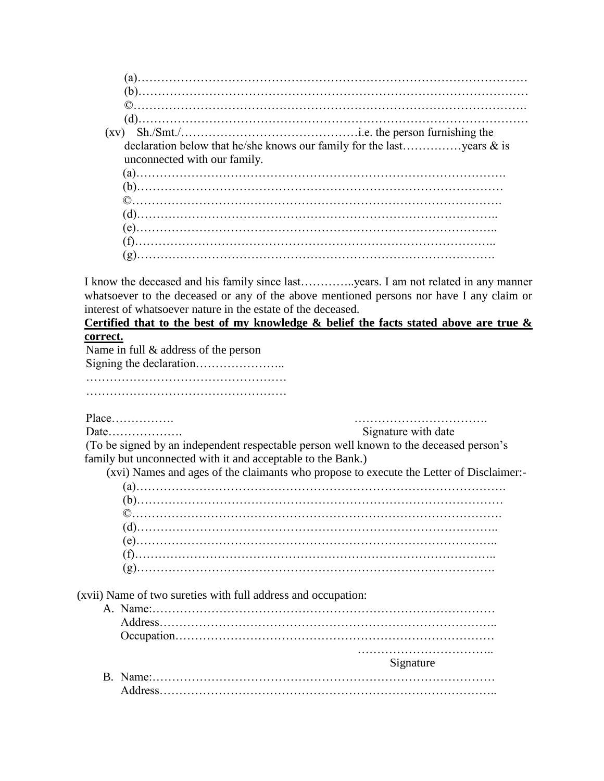| $\circled{c}$                |  |
|------------------------------|--|
|                              |  |
|                              |  |
| unconnected with our family. |  |
|                              |  |
|                              |  |
| $\circled{c}$                |  |
|                              |  |
|                              |  |
| (g)                          |  |

I know the deceased and his family since last…………..years. I am not related in any manner whatsoever to the deceased or any of the above mentioned persons nor have I any claim or interest of whatsoever nature in the estate of the deceased.

### **Certified that to the best of my knowledge & belief the facts stated above are true & correct.**

Name in full & address of the person

Signing the declaration…………………..

……………………………………………

……………………………………………

Place……………. …………………………….

Date………………. Signature with date

 (To be signed by an independent respectable person well known to the deceased person's family but unconnected with it and acceptable to the Bank.)

(xvi) Names and ages of the claimants who propose to execute the Letter of Disclaimer:-

(xvii) Name of two sureties with full address and occupation:

| Signature |
|-----------|
|           |
|           |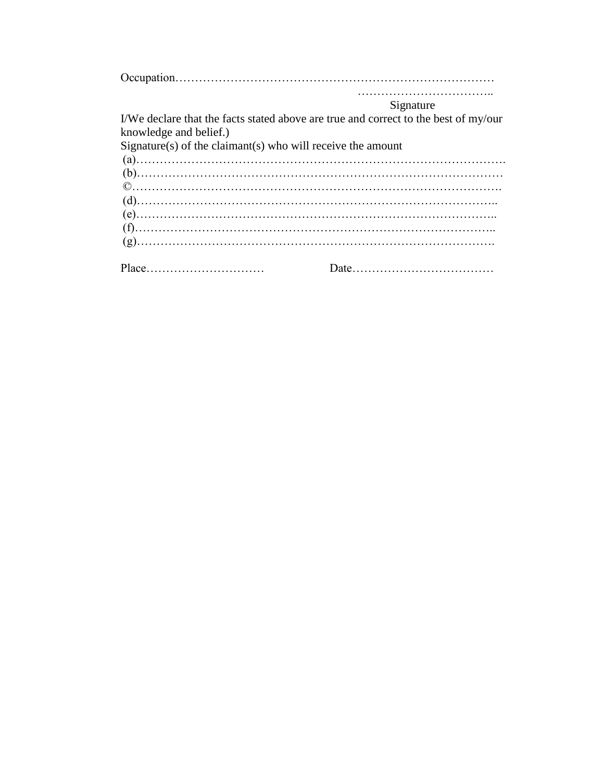|                                                           | Signature                                                                           |
|-----------------------------------------------------------|-------------------------------------------------------------------------------------|
| knowledge and belief.)                                    | I/We declare that the facts stated above are true and correct to the best of my/our |
| $Sigma(s)$ of the claimant(s) who will receive the amount |                                                                                     |
|                                                           |                                                                                     |
|                                                           |                                                                                     |
|                                                           |                                                                                     |
|                                                           |                                                                                     |
|                                                           |                                                                                     |
|                                                           |                                                                                     |
|                                                           |                                                                                     |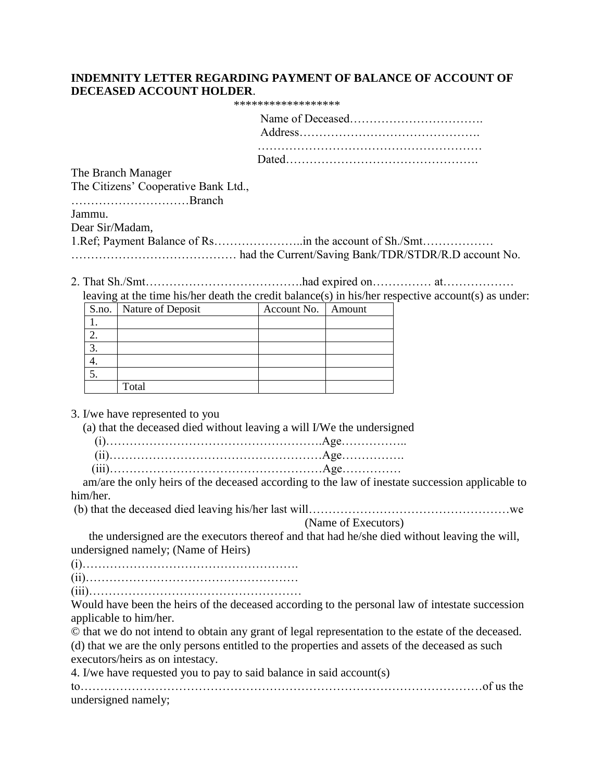### **INDEMNITY LETTER REGARDING PAYMENT OF BALANCE OF ACCOUNT OF DECEASED ACCOUNT HOLDER**.

| ****************** |
|--------------------|
|                    |

|                                      | Address and the same of the same state of the same state of the same state of the same state of the same state of the same state of the same state of the same state of the same state of the same state of the same state of |
|--------------------------------------|-------------------------------------------------------------------------------------------------------------------------------------------------------------------------------------------------------------------------------|
|                                      |                                                                                                                                                                                                                               |
| The Branch Manager                   |                                                                                                                                                                                                                               |
| The Citizens' Cooperative Bank Ltd., |                                                                                                                                                                                                                               |
| Branch                               |                                                                                                                                                                                                                               |
| Jammu.                               |                                                                                                                                                                                                                               |
| Dear Sir/Madam,                      |                                                                                                                                                                                                                               |
|                                      |                                                                                                                                                                                                                               |
|                                      |                                                                                                                                                                                                                               |

2. That Sh./Smt………………………………….had expired on…………… at……………… leaving at the time his/her death the credit balance(s) in his/her respective account(s) as under:

|            | S.no.   Nature of Deposit | Account No.   Amount |  |
|------------|---------------------------|----------------------|--|
|            |                           |                      |  |
|            |                           |                      |  |
| $\bigcirc$ |                           |                      |  |
|            |                           |                      |  |
| 5          |                           |                      |  |
|            | Total                     |                      |  |

3. I/we have represented to you

(a) that the deceased died without leaving a will I/We the undersigned

 am/are the only heirs of the deceased according to the law of inestate succession applicable to him/her.

(b) that the deceased died leaving his/her last will……………………………………………we

(Name of Executors)

 the undersigned are the executors thereof and that had he/she died without leaving the will, undersigned namely; (Name of Heirs)

(i)………………………………………………. (ii)………………………………………………

(iii)………………………………………………

Would have been the heirs of the deceased according to the personal law of intestate succession applicable to him/her.

© that we do not intend to obtain any grant of legal representation to the estate of the deceased. (d) that we are the only persons entitled to the properties and assets of the deceased as such executors/heirs as on intestacy.

4. I/we have requested you to pay to said balance in said account(s)

| undersigned namely; |  |
|---------------------|--|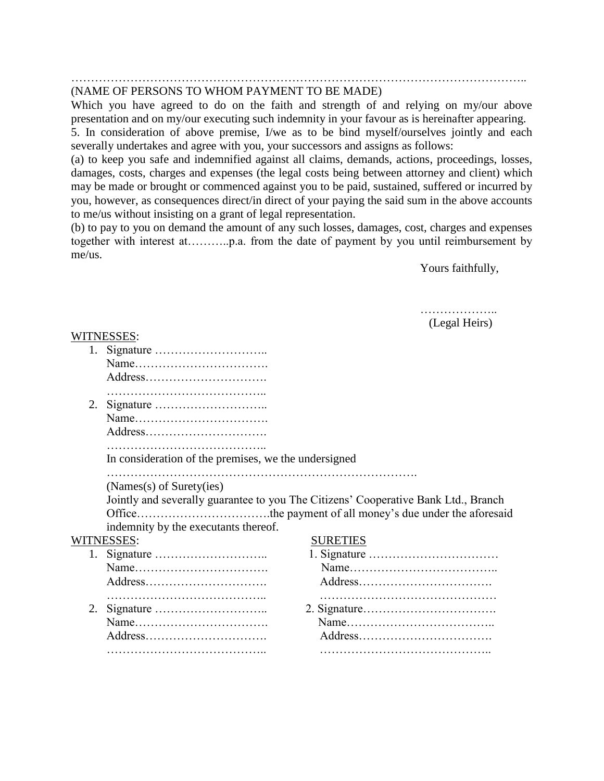#### …………………………………………………………………………………………………….. (NAME OF PERSONS TO WHOM PAYMENT TO BE MADE)

Which you have agreed to do on the faith and strength of and relying on my/our above presentation and on my/our executing such indemnity in your favour as is hereinafter appearing.

5. In consideration of above premise, I/we as to be bind myself/ourselves jointly and each severally undertakes and agree with you, your successors and assigns as follows:

(a) to keep you safe and indemnified against all claims, demands, actions, proceedings, losses, damages, costs, charges and expenses (the legal costs being between attorney and client) which may be made or brought or commenced against you to be paid, sustained, suffered or incurred by you, however, as consequences direct/in direct of your paying the said sum in the above accounts to me/us without insisting on a grant of legal representation.

(b) to pay to you on demand the amount of any such losses, damages, cost, charges and expenses together with interest at………..p.a. from the date of payment by you until reimbursement by me/us.

Yours faithfully,

 ……………….. (Legal Heirs)

#### WITNESSES:

| 1. |                                                                                    |                 |  |  |  |  |
|----|------------------------------------------------------------------------------------|-----------------|--|--|--|--|
|    |                                                                                    |                 |  |  |  |  |
|    | Address                                                                            |                 |  |  |  |  |
|    |                                                                                    |                 |  |  |  |  |
| 2. |                                                                                    |                 |  |  |  |  |
|    |                                                                                    |                 |  |  |  |  |
|    |                                                                                    |                 |  |  |  |  |
|    | In consideration of the premises, we the undersigned                               |                 |  |  |  |  |
|    | (Names(s) of Surety(ies)                                                           |                 |  |  |  |  |
|    | Jointly and severally guarantee to you The Citizens' Cooperative Bank Ltd., Branch |                 |  |  |  |  |
|    |                                                                                    |                 |  |  |  |  |
|    | indemnity by the executants thereof.                                               |                 |  |  |  |  |
|    | WITNESSES:                                                                         | <b>SURETIES</b> |  |  |  |  |
| 1. |                                                                                    |                 |  |  |  |  |
|    |                                                                                    |                 |  |  |  |  |
|    |                                                                                    |                 |  |  |  |  |
|    |                                                                                    |                 |  |  |  |  |
| 2. |                                                                                    |                 |  |  |  |  |
|    |                                                                                    |                 |  |  |  |  |
|    | Address                                                                            |                 |  |  |  |  |
|    |                                                                                    |                 |  |  |  |  |